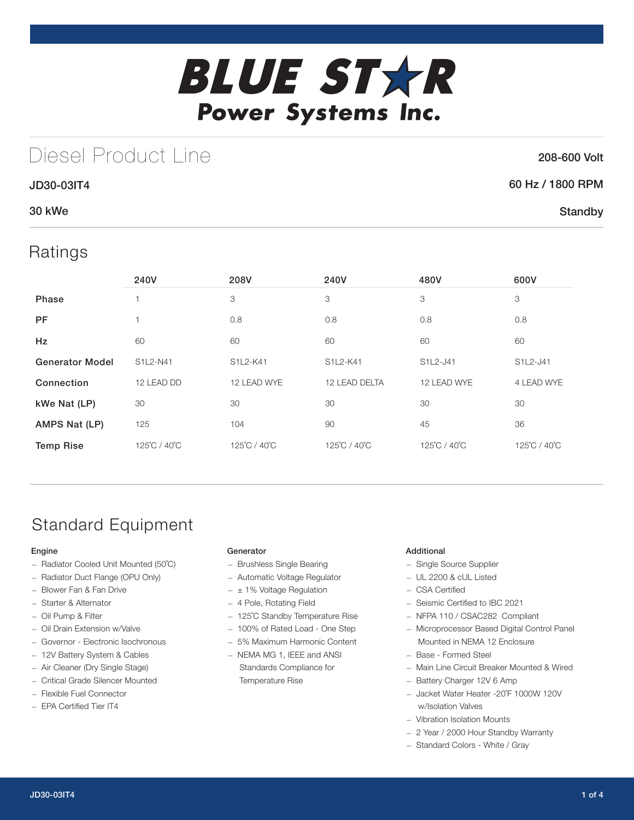

# Diesel Product Line

### 208-600 Volt

**Standby** 

## 60 Hz / 1800 RPM

## 30 kWe

## Ratings

JD30-03IT4

|                        | 240V         | 208V         | 240V          | 480V         | 600V         |
|------------------------|--------------|--------------|---------------|--------------|--------------|
| Phase                  |              | 3            | 3             | 3            | 3            |
| <b>PF</b>              | 1            | 0.8          | 0.8           | 0.8          | 0.8          |
| Hz                     | 60           | 60           | 60            | 60           | 60           |
| <b>Generator Model</b> | S1L2-N41     | S1L2-K41     | S1L2-K41      | S1L2-J41     | S1L2-J41     |
| Connection             | 12 LEAD DD   | 12 LEAD WYE  | 12 LEAD DELTA | 12 LEAD WYE  | 4 LEAD WYE   |
| kWe Nat (LP)           | 30           | 30           | 30            | 30           | 30           |
| AMPS Nat (LP)          | 125          | 104          | 90            | 45           | 36           |
| <b>Temp Rise</b>       | 125°C / 40°C | 125°C / 40°C | 125°C / 40°C  | 125°C / 40°C | 125°C / 40°C |

# Standard Equipment

### Engine

- Radiator Cooled Unit Mounted (50˚C)
- Radiator Duct Flange (OPU Only)
- Blower Fan & Fan Drive
- Starter & Alternator
- Oil Pump & Filter
- Oil Drain Extension w/Valve
- Governor Electronic Isochronous
- 12V Battery System & Cables
- Air Cleaner (Dry Single Stage)
- Critical Grade Silencer Mounted
- Flexible Fuel Connector
- EPA Certified Tier IT4

### **Generator**

- Brushless Single Bearing
- Automatic Voltage Regulator
- $\pm$  1% Voltage Regulation
- 4 Pole, Rotating Field
- 125˚C Standby Temperature Rise
- 100% of Rated Load One Step
- 5% Maximum Harmonic Content
- NEMA MG 1, IEEE and ANSI Standards Compliance for Temperature Rise

### Additional

- Single Source Supplier
- UL 2200 & cUL Listed
- CSA Certified
- Seismic Certified to IBC 2021
- NFPA 110 / CSAC282 Compliant
- Microprocessor Based Digital Control Panel Mounted in NEMA 12 Enclosure
- Base Formed Steel
- Main Line Circuit Breaker Mounted & Wired
- Battery Charger 12V 6 Amp
- Jacket Water Heater -20˚F 1000W 120V w/Isolation Valves
- Vibration Isolation Mounts
- 2 Year / 2000 Hour Standby Warranty
- Standard Colors White / Gray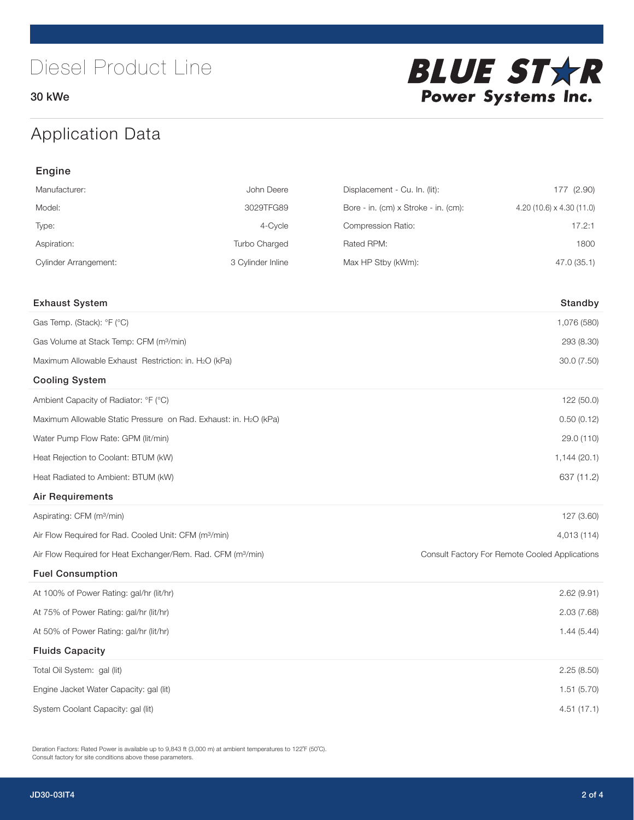30 kWe



# Application Data

| Engine                                                                   |                   |                                      |                                                |  |
|--------------------------------------------------------------------------|-------------------|--------------------------------------|------------------------------------------------|--|
| Manufacturer:                                                            | John Deere        | Displacement - Cu. In. (lit):        | 177 (2.90)                                     |  |
| Model:                                                                   | 3029TFG89         | Bore - in. (cm) x Stroke - in. (cm): | 4.20 (10.6) $\times$ 4.30 (11.0)               |  |
| Type:                                                                    | 4-Cycle           | Compression Ratio:                   | 17.2:1                                         |  |
| Aspiration:                                                              | Turbo Charged     | Rated RPM:                           | 1800                                           |  |
| <b>Cylinder Arrangement:</b>                                             | 3 Cylinder Inline | Max HP Stby (kWm):                   | 47.0 (35.1)                                    |  |
|                                                                          |                   |                                      |                                                |  |
| <b>Exhaust System</b>                                                    |                   |                                      | Standby                                        |  |
| Gas Temp. (Stack): °F (°C)                                               |                   |                                      | 1,076 (580)                                    |  |
| Gas Volume at Stack Temp: CFM (m <sup>3</sup> /min)                      |                   |                                      | 293 (8.30)                                     |  |
| Maximum Allowable Exhaust Restriction: in. H2O (kPa)                     |                   |                                      | 30.0 (7.50)                                    |  |
| <b>Cooling System</b>                                                    |                   |                                      |                                                |  |
| Ambient Capacity of Radiator: °F (°C)                                    |                   |                                      | 122 (50.0)                                     |  |
| Maximum Allowable Static Pressure on Rad. Exhaust: in. H2O (kPa)         |                   | 0.50(0.12)                           |                                                |  |
| Water Pump Flow Rate: GPM (lit/min)                                      |                   |                                      | 29.0 (110)                                     |  |
| Heat Rejection to Coolant: BTUM (kW)                                     |                   |                                      | 1,144(20.1)                                    |  |
| Heat Radiated to Ambient: BTUM (kW)                                      |                   |                                      | 637 (11.2)                                     |  |
| <b>Air Requirements</b>                                                  |                   |                                      |                                                |  |
| Aspirating: CFM (m <sup>3</sup> /min)                                    |                   |                                      | 127 (3.60)                                     |  |
| Air Flow Required for Rad. Cooled Unit: CFM (m <sup>3</sup> /min)        |                   |                                      | 4,013 (114)                                    |  |
| Air Flow Required for Heat Exchanger/Rem. Rad. CFM (m <sup>3</sup> /min) |                   |                                      | Consult Factory For Remote Cooled Applications |  |
| <b>Fuel Consumption</b>                                                  |                   |                                      |                                                |  |
| At 100% of Power Rating: gal/hr (lit/hr)                                 |                   |                                      | 2.62(9.91)                                     |  |
| At 75% of Power Rating: gal/hr (lit/hr)                                  |                   |                                      | 2.03(7.68)                                     |  |
| At 50% of Power Rating: gal/hr (lit/hr)                                  |                   |                                      | 1.44(5.44)                                     |  |
| <b>Fluids Capacity</b>                                                   |                   |                                      |                                                |  |
| Total Oil System: gal (lit)                                              |                   |                                      | 2.25(8.50)                                     |  |
| Engine Jacket Water Capacity: gal (lit)                                  |                   |                                      | 1.51 (5.70)                                    |  |
| System Coolant Capacity: gal (lit)                                       |                   |                                      | 4.51(17.1)                                     |  |

Deration Factors: Rated Power is available up to 9,843 ft (3,000 m) at ambient temperatures to 122˚F (50˚C). Consult factory for site conditions above these parameters.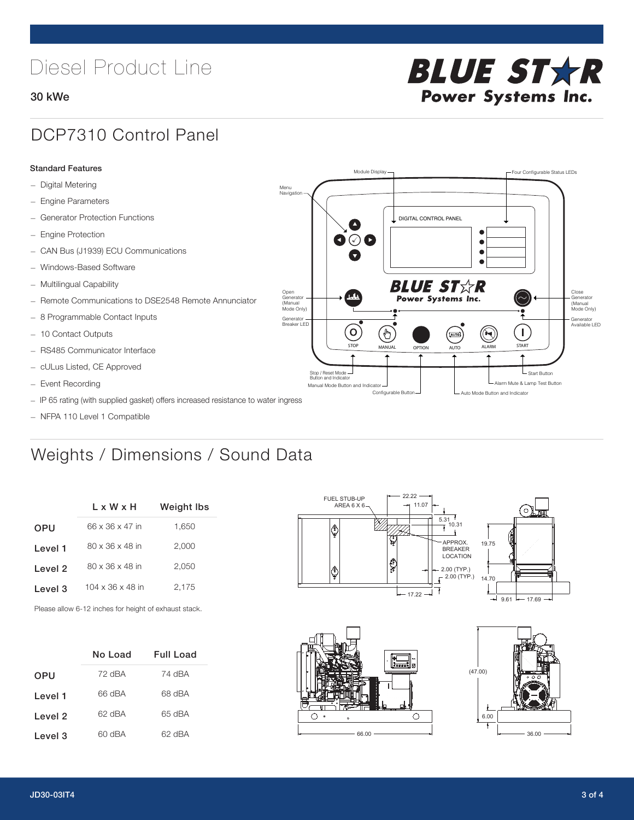# Diesel Product Line

### 30 kWe



## DCP7310 Control Panel

### Standard Features

- Digital Metering
- Engine Parameters
- Generator Protection Functions
- Engine Protection
- CAN Bus (J1939) ECU Communications
- Windows-Based Software
- Multilingual Capability
- Remote Communications to DSE2548 Remote Annunciator
- 8 Programmable Contact Inputs
- 10 Contact Outputs
- RS485 Communicator Interface
- cULus Listed, CE Approved
- Event Recording
- IP 65 rating (with supplied gasket) offers increased resistance to water ingress
- NFPA 110 Level 1 Compatible

# Weights / Dimensions / Sound Data

|            | L x W x H                    | <b>Weight Ibs</b> |  |
|------------|------------------------------|-------------------|--|
| <b>OPU</b> | 66 x 36 x 47 in              | 1,650             |  |
| Level 1    | 80 x 36 x 48 in              | 2,000             |  |
| Level 2    | $80 \times 36 \times 48$ in  | 2,050             |  |
| Level 3    | $104 \times 36 \times 48$ in | 2.175             |  |
|            |                              |                   |  |

Please allow 6-12 inches for height of exhaust stack.

|            | No Load | Full Load |
|------------|---------|-----------|
| <b>OPU</b> | 72 dBA  | 74 dBA    |
| Level 1    | 66 dBA  | 68 dBA    |
| Level 2    | 62 dBA  | 65 dBA    |
| Level 3    | 60 dBA  | 62 dBA    |



STOP MANUAL OPTION AUTO ALARM START

[AUTO]

**BLUE STAR** Power Systems Inc.

Manual Mode Button and Indicator Sultane Mute & Lamp Test Button Mute & Lamp Test Button Mute & Lamp Test Button Configurable Button -  $\Box$  Auto Mode Button and Indicator

DIGITAL CONTROL PANEL

Module Display  $\Box$ 

 $\bullet$  $\bullet$  $\bullet$ 

 $\circledcirc$ 

Menu Navigation

Open Generator (Manual Mode Only)

Generator Breaker LED

Stop / Reset Mode Button and Indicator

 $\blacksquare$  $\bullet$   $\circ$   $\bullet$ 

 $\sigma$ 

 $\mathbf{r}$ 





Close Generator (Manual Mode Only)

Generator Available LED

- Start Button

 $\blacksquare$